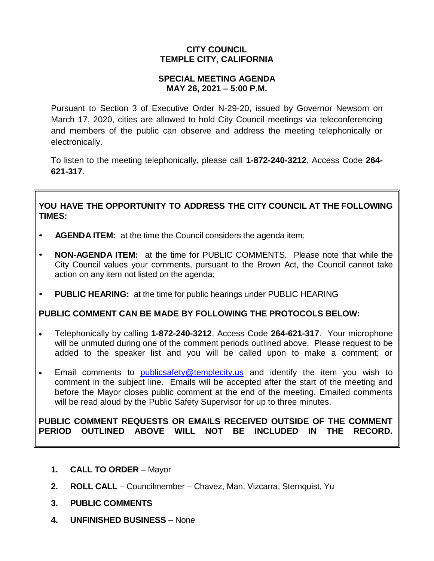## **CITY COUNCIL TEMPLE CITY, CALIFORNIA**

### **SPECIAL MEETING AGENDA MAY 26, 2021 – 5:00 P.M.**

Pursuant to Section 3 of Executive Order N-29-20, issued by Governor Newsom on March 17, 2020, cities are allowed to hold City Council meetings via teleconferencing and members of the public can observe and address the meeting telephonically or electronically.

To listen to the meeting telephonically, please call **1-872-240-3212**, Access Code **264- 621-317**.

## **YOU HAVE THE OPPORTUNITY TO ADDRESS THE CITY COUNCIL AT THE FOLLOWING TIMES:**

- **AGENDA ITEM:** at the time the Council considers the agenda item;
- **NON-AGENDA ITEM:** at the time for PUBLIC COMMENTS. Please note that while the City Council values your comments, pursuant to the Brown Act, the Council cannot take action on any item not listed on the agenda;
- **PUBLIC HEARING:** at the time for public hearings under PUBLIC HEARING

# **PUBLIC COMMENT CAN BE MADE BY FOLLOWING THE PROTOCOLS BELOW:**

- Telephonically by calling **1-872-240-3212**, Access Code **264-621-317**. Your microphone will be unmuted during one of the comment periods outlined above. Please request to be added to the speaker list and you will be called upon to make a comment; or
- Email comments to **[publicsafety@templecity.us](mailto:publicsafety@templecity.us)** and identify the item you wish to comment in the subject line. Emails will be accepted after the start of the meeting and before the Mayor closes public comment at the end of the meeting. Emailed comments will be read aloud by the Public Safety Supervisor for up to three minutes.

### **PUBLIC COMMENT REQUESTS OR EMAILS RECEIVED OUTSIDE OF THE COMMENT PERIOD OUTLINED ABOVE WILL NOT BE INCLUDED IN THE RECORD.**

- **1. CALL TO ORDER** Mayor
- **2. ROLL CALL** Councilmember Chavez, Man, Vizcarra, Sternquist, Yu
- **3. PUBLIC COMMENTS**
- **4. UNFINISHED BUSINESS** None